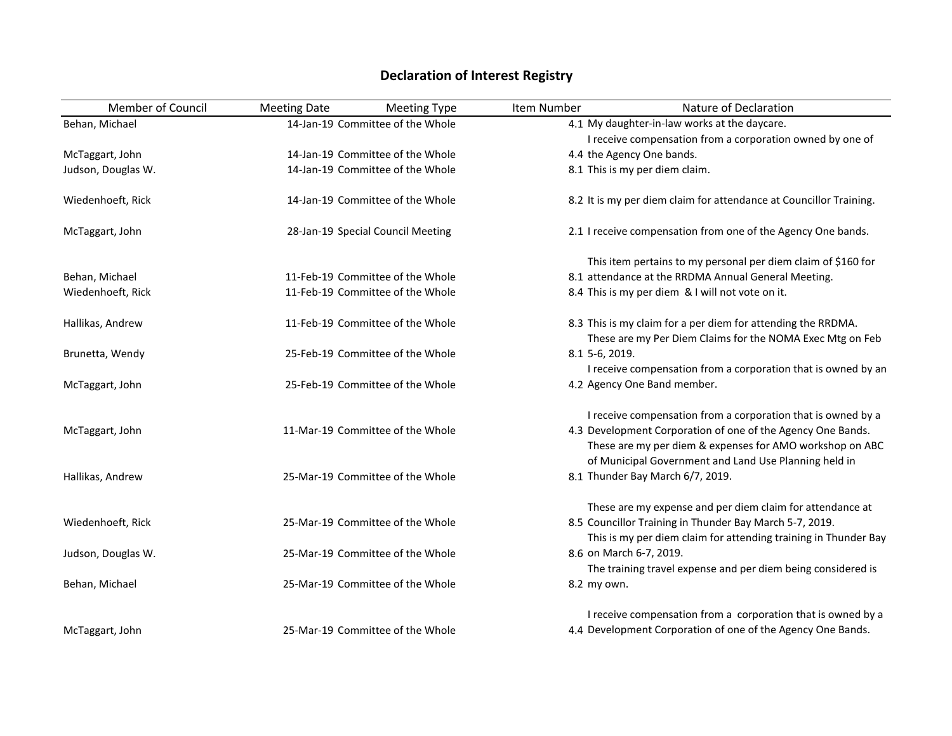## Member of Council Meeting Date Meeting Type Item Number Nature of Declaration Behan, Michael 14-Jan-19 Committee of the Whole 54.1 My daughter-in-law works at the daycare. McTaggart, John 14-Jan-19 Committee of the Whole I receive compensation from a corporation owned by one of 4.4 the Agency One bands. Judson, Douglas W. 14-Jan-19 Committee of the Whole 8.1 This is my per diem claim. Wiedenhoeft, Rick 14-Jan-19 Committee of the Whole 8.2 It is my per diem claim for attendance at Councillor Training. McTaggart, John 28-Jan-19 Special Council Meeting 2.1 I receive compensation from one of the Agency One bands. Behan, Michael 11-Feb-19 Committee of the Whole This item pertains to my personal per diem claim of \$160 for 8.1 attendance at the RRDMA Annual General Meeting. Wiedenhoeft, Rick 11-Feb-19 Committee of the Whole 8.4 This is my per diem & I will not vote on it. Hallikas, Andrew 11-Feb-19 Committee of the Whole 8.3 This is my claim for a per diem for attending the RRDMA. Brunetta, Wendy **25-Feb-19** Committee of the Whole These are my Per Diem Claims for the NOMA Exec Mtg on Feb 5-6, 2019. McTaggart, John 25-Feb-19 Committee of the Whole I receive compensation from a corporation that is owned by an 4.2 Agency One Band member. McTaggart, John 11-Mar-19 Committee of the Whole I receive compensation from a corporation that is owned by a 4.3 Development Corporation of one of the Agency One Bands. Hallikas, Andrew 25-Mar-19 Committee of the Whole These are my per diem & expenses for AMO workshop on ABC of Municipal Government and Land Use Planning held in 8.1 Thunder Bay March 6/7, 2019. Wiedenhoeft, Rick 25-Mar-19 Committee of the Whole These are my expense and per diem claim for attendance at 8.5 Councillor Training in Thunder Bay March 5-7, 2019. Judson, Douglas W. 25-Mar-19 Committee of the Whole This is my per diem claim for attending training in Thunder Bay 8.6 on March 6-7, 2019. Behan, Michael 25-Mar-19 Committee of the Whole The training travel expense and per diem being considered is 8.2 my own. McTaggart, John 25-Mar-19 Committee of the Whole I receive compensation from a corporation that is owned by a 4.4 Development Corporation of one of the Agency One Bands.

## **Declaration of Interest Registry**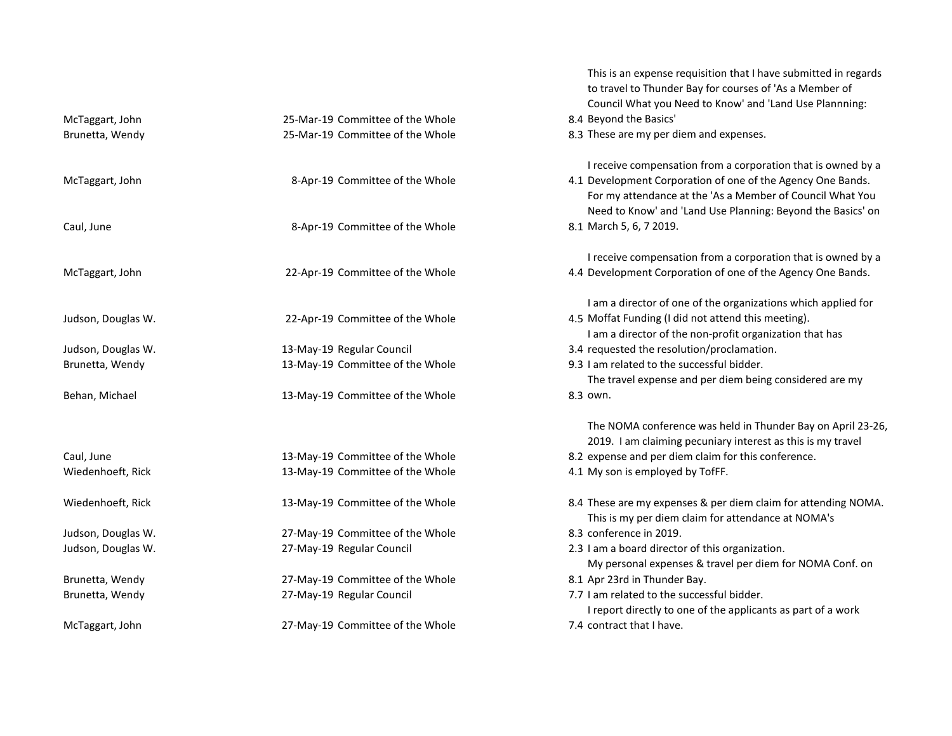|                    |                                  | This is an expense requisition that I have submitted in regards<br>to travel to Thunder Bay for courses of 'As a Member of |  |
|--------------------|----------------------------------|----------------------------------------------------------------------------------------------------------------------------|--|
|                    |                                  | Council What you Need to Know' and 'Land Use Plannning:                                                                    |  |
| McTaggart, John    | 25-Mar-19 Committee of the Whole | 8.4 Beyond the Basics'                                                                                                     |  |
|                    | 25-Mar-19 Committee of the Whole |                                                                                                                            |  |
| Brunetta, Wendy    |                                  | 8.3 These are my per diem and expenses.                                                                                    |  |
|                    |                                  | I receive compensation from a corporation that is owned by a                                                               |  |
| McTaggart, John    | 8-Apr-19 Committee of the Whole  | 4.1 Development Corporation of one of the Agency One Bands.                                                                |  |
|                    |                                  | For my attendance at the 'As a Member of Council What You                                                                  |  |
|                    |                                  | Need to Know' and 'Land Use Planning: Beyond the Basics' on                                                                |  |
| Caul, June         | 8-Apr-19 Committee of the Whole  | 8.1 March 5, 6, 7 2019.                                                                                                    |  |
|                    |                                  | I receive compensation from a corporation that is owned by a                                                               |  |
| McTaggart, John    | 22-Apr-19 Committee of the Whole | 4.4 Development Corporation of one of the Agency One Bands.                                                                |  |
|                    |                                  | I am a director of one of the organizations which applied for                                                              |  |
| Judson, Douglas W. | 22-Apr-19 Committee of the Whole | 4.5 Moffat Funding (I did not attend this meeting).                                                                        |  |
|                    |                                  | I am a director of the non-profit organization that has                                                                    |  |
| Judson, Douglas W. | 13-May-19 Regular Council        | 3.4 requested the resolution/proclamation.                                                                                 |  |
| Brunetta, Wendy    | 13-May-19 Committee of the Whole | 9.3 I am related to the successful bidder.                                                                                 |  |
|                    |                                  | The travel expense and per diem being considered are my                                                                    |  |
| Behan, Michael     | 13-May-19 Committee of the Whole | 8.3 own.                                                                                                                   |  |
|                    |                                  | The NOMA conference was held in Thunder Bay on April 23-26,                                                                |  |
|                    |                                  | 2019. I am claiming pecuniary interest as this is my travel                                                                |  |
| Caul, June         | 13-May-19 Committee of the Whole | 8.2 expense and per diem claim for this conference.                                                                        |  |
| Wiedenhoeft, Rick  | 13-May-19 Committee of the Whole | 4.1 My son is employed by TofFF.                                                                                           |  |
| Wiedenhoeft, Rick  | 13-May-19 Committee of the Whole | 8.4 These are my expenses & per diem claim for attending NOMA.                                                             |  |
|                    |                                  | This is my per diem claim for attendance at NOMA's                                                                         |  |
| Judson, Douglas W. | 27-May-19 Committee of the Whole | 8.3 conference in 2019.                                                                                                    |  |
| Judson, Douglas W. | 27-May-19 Regular Council        | 2.3 I am a board director of this organization.                                                                            |  |
|                    |                                  | My personal expenses & travel per diem for NOMA Conf. on                                                                   |  |
| Brunetta, Wendy    | 27-May-19 Committee of the Whole | 8.1 Apr 23rd in Thunder Bay.                                                                                               |  |
| Brunetta, Wendy    | 27-May-19 Regular Council        | 7.7 I am related to the successful bidder.                                                                                 |  |
|                    |                                  | I report directly to one of the applicants as part of a work                                                               |  |
| McTaggart, John    | 27-May-19 Committee of the Whole | 7.4 contract that I have.                                                                                                  |  |